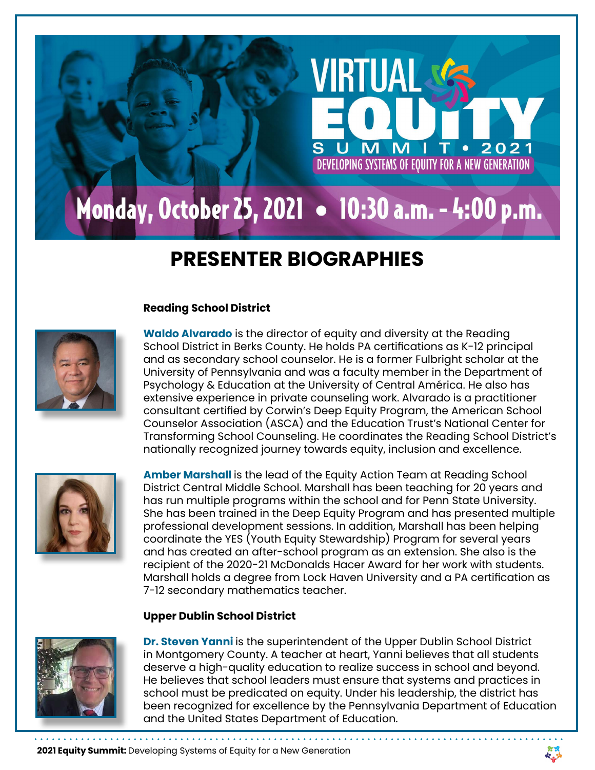# Monday, October 25, 2021 • 10:30 a.m. - 4:00 p.m.

# **PRESENTER BIOGRAPHIES**

# **Reading School District**



**Waldo Alvarado** is the director of equity and diversity at the Reading School District in Berks County. He holds PA certifications as K-12 principal and as secondary school counselor. He is a former Fulbright scholar at the University of Pennsylvania and was a faculty member in the Department of Psychology & Education at the University of Central América. He also has extensive experience in private counseling work. Alvarado is a practitioner consultant certified by Corwin's Deep Equity Program, the American School Counselor Association (ASCA) and the Education Trust's National Center for Transforming School Counseling. He coordinates the Reading School District's nationally recognized journey towards equity, inclusion and excellence.

VIRTIJA

DEVELOPING SYSTEMS OF EQUITY FOR A NEW GENERATION



**Amber Marshall** is the lead of the Equity Action Team at Reading School District Central Middle School. Marshall has been teaching for 20 years and has run multiple programs within the school and for Penn State University. She has been trained in the Deep Equity Program and has presented multiple professional development sessions. In addition, Marshall has been helping coordinate the YES (Youth Equity Stewardship) Program for several years and has created an after-school program as an extension. She also is the recipient of the 2020-21 McDonalds Hacer Award for her work with students. Marshall holds a degree from Lock Haven University and a PA certification as 7-12 secondary mathematics teacher.

#### **Upper Dublin School District**



**Dr. Steven Yanni** is the superintendent of the Upper Dublin School District in Montgomery County. A teacher at heart, Yanni believes that all students deserve a high-quality education to realize success in school and beyond. He believes that school leaders must ensure that systems and practices in school must be predicated on equity. Under his leadership, the district has been recognized for excellence by the Pennsylvania Department of Education and the United States Department of Education.

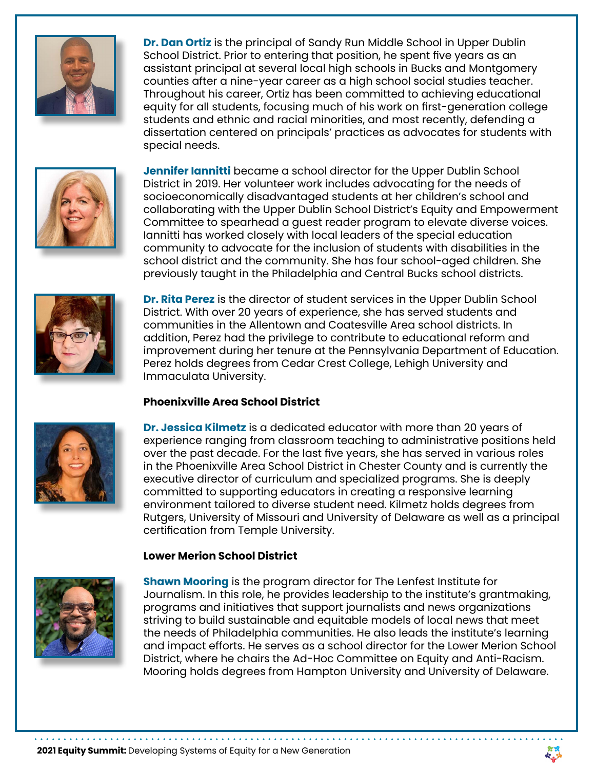

**Dr. Dan Ortiz** is the principal of Sandy Run Middle School in Upper Dublin School District. Prior to entering that position, he spent five years as an assistant principal at several local high schools in Bucks and Montgomery counties after a nine-year career as a high school social studies teacher. Throughout his career, Ortiz has been committed to achieving educational equity for all students, focusing much of his work on first-generation college students and ethnic and racial minorities, and most recently, defending a dissertation centered on principals' practices as advocates for students with special needs.



**Jennifer Iannitti** became a school director for the Upper Dublin School District in 2019. Her volunteer work includes advocating for the needs of socioeconomically disadvantaged students at her children's school and collaborating with the Upper Dublin School District's Equity and Empowerment Committee to spearhead a guest reader program to elevate diverse voices. Iannitti has worked closely with local leaders of the special education community to advocate for the inclusion of students with disabilities in the school district and the community. She has four school-aged children. She previously taught in the Philadelphia and Central Bucks school districts.



**Dr. Rita Perez** is the director of student services in the Upper Dublin School District. With over 20 years of experience, she has served students and communities in the Allentown and Coatesville Area school districts. In addition, Perez had the privilege to contribute to educational reform and improvement during her tenure at the Pennsylvania Department of Education. Perez holds degrees from Cedar Crest College, Lehigh University and Immaculata University.

# **Phoenixville Area School District**



**Dr. Jessica Kilmetz** is a dedicated educator with more than 20 years of experience ranging from classroom teaching to administrative positions held over the past decade. For the last five years, she has served in various roles in the Phoenixville Area School District in Chester County and is currently the executive director of curriculum and specialized programs. She is deeply committed to supporting educators in creating a responsive learning environment tailored to diverse student need. Kilmetz holds degrees from Rutgers, University of Missouri and University of Delaware as well as a principal certification from Temple University.

# **Lower Merion School District**



**Shawn Mooring** is the program director for The Lenfest Institute for Journalism. In this role, he provides leadership to the institute's grantmaking, programs and initiatives that support journalists and news organizations striving to build sustainable and equitable models of local news that meet the needs of Philadelphia communities. He also leads the institute's learning and impact efforts. He serves as a school director for the Lower Merion School District, where he chairs the Ad-Hoc Committee on Equity and Anti-Racism. Mooring holds degrees from Hampton University and University of Delaware.

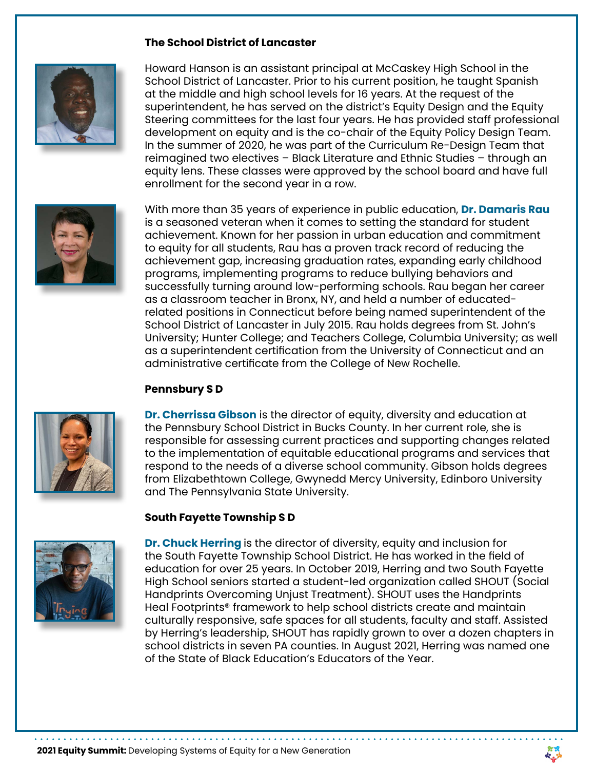### **The School District of Lancaster**



Howard Hanson is an assistant principal at McCaskey High School in the School District of Lancaster. Prior to his current position, he taught Spanish at the middle and high school levels for 16 years. At the request of the superintendent, he has served on the district's Equity Design and the Equity Steering committees for the last four years. He has provided staff professional development on equity and is the co-chair of the Equity Policy Design Team. In the summer of 2020, he was part of the Curriculum Re-Design Team that reimagined two electives – Black Literature and Ethnic Studies – through an equity lens. These classes were approved by the school board and have full enrollment for the second year in a row.



With more than 35 years of experience in public education, **Dr. Damaris Rau** is a seasoned veteran when it comes to setting the standard for student achievement. Known for her passion in urban education and commitment to equity for all students, Rau has a proven track record of reducing the achievement gap, increasing graduation rates, expanding early childhood programs, implementing programs to reduce bullying behaviors and successfully turning around low-performing schools. Rau began her career as a classroom teacher in Bronx, NY, and held a number of educatedrelated positions in Connecticut before being named superintendent of the School District of Lancaster in July 2015. Rau holds degrees from St. John's University; Hunter College; and Teachers College, Columbia University; as well as a superintendent certification from the University of Connecticut and an administrative certificate from the College of New Rochelle.

#### **Pennsbury S D**



**Dr. Cherrissa Gibson** is the director of equity, diversity and education at the Pennsbury School District in Bucks County. In her current role, she is responsible for assessing current practices and supporting changes related to the implementation of equitable educational programs and services that respond to the needs of a diverse school community. Gibson holds degrees from Elizabethtown College, Gwynedd Mercy University, Edinboro University and The Pennsylvania State University.

#### **South Fayette Township S D**



**Dr. Chuck Herring** is the director of diversity, equity and inclusion for the South Fayette Township School District. He has worked in the field of education for over 25 years. In October 2019, Herring and two South Fayette High School seniors started a student-led organization called SHOUT (Social Handprints Overcoming Unjust Treatment). SHOUT uses the Handprints Heal Footprints® framework to help school districts create and maintain culturally responsive, safe spaces for all students, faculty and staff. Assisted by Herring's leadership, SHOUT has rapidly grown to over a dozen chapters in school districts in seven PA counties. In August 2021, Herring was named one of the State of Black Education's Educators of the Year.